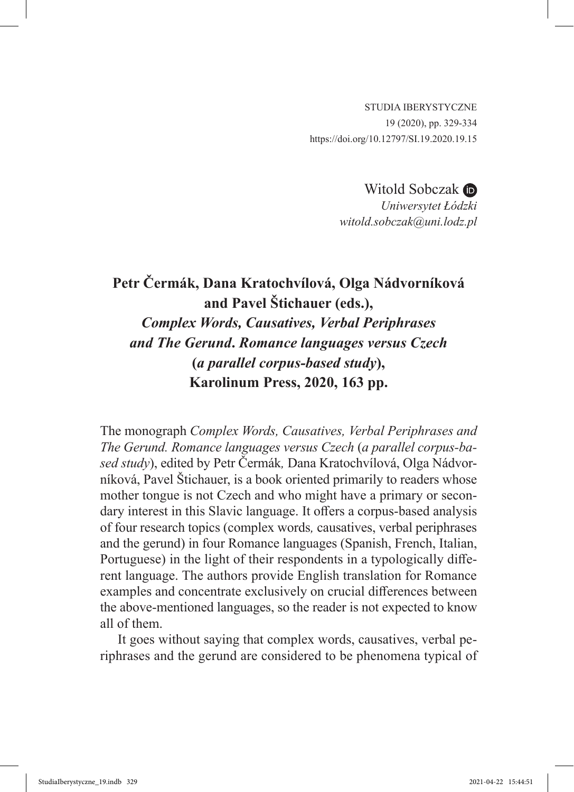STUDIA IBERYSTYCZNE 19 (2020), pp. 329-334 https://doi.org/10.12797/SI.19.2020.19.15

> WitoldSobczak **D** *Uniwersytet Łódzki witold.sobczak@uni.lodz.pl*

## **Petr Čermák, Dana Kratochvílová, Olga Nádvorníková and Pavel Štichauer (eds.),** *Complex Words, Causatives, Verbal Periphrases and The Gerund***.** *Romance languages versus Czech*  **(***a parallel corpus-based study***), Karolinum Press, 2020, 163 pp.**

The monograph *Complex Words, Causatives, Verbal Periphrases and The Gerund. Romance languages versus Czech* (*a parallel corpus-based study*), edited by Petr Čermák*,* Dana Kratochvílová, Olga Nádvorníková, Pavel Štichauer, is a book oriented primarily to readers whose mother tongue is not Czech and who might have a primary or secondary interest in this Slavic language. It offers a corpus-based analysis of four research topics (complex words*,* causatives, verbal periphrases and the gerund) in four Romance languages (Spanish, French, Italian, Portuguese) in the light of their respondents in a typologically different language. The authors provide English translation for Romance examples and concentrate exclusively on crucial differences between the above-mentioned languages, so the reader is not expected to know all of them.

It goes without saying that complex words, causatives, verbal periphrases and the gerund are considered to be phenomena typical of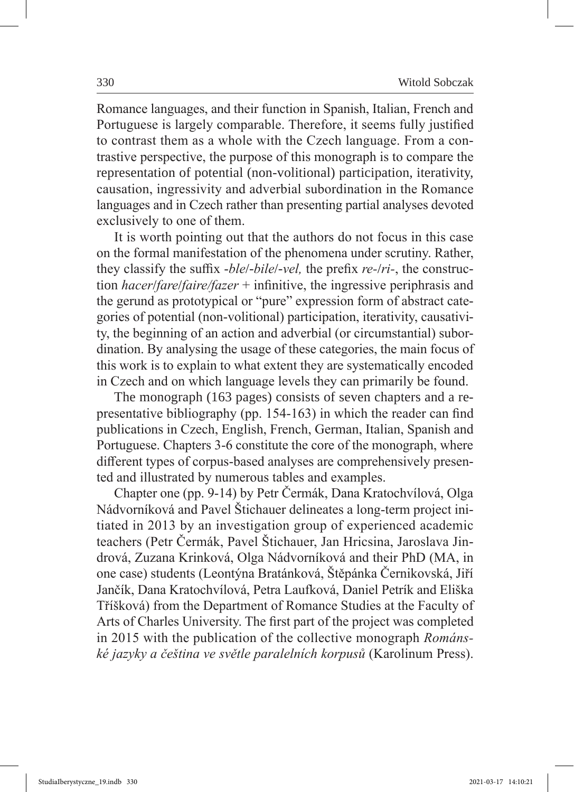Romance languages, and their function in Spanish, Italian, French and Portuguese is largely comparable. Therefore, it seems fully justified to contrast them as a whole with the Czech language. From a contrastive perspective, the purpose of this monograph is to compare the representation of potential (non-volitional) participation, iterativity, causation, ingressivity and adverbial subordination in the Romance languages and in Czech rather than presenting partial analyses devoted exclusively to one of them.

It is worth pointing out that the authors do not focus in this case on the formal manifestation of the phenomena under scrutiny. Rather, they classify the suffix -*ble*/-*bile*/-*vel,* the prefix *re-*/*ri-*, the construction *hacer*/*fare*/*faire/fazer* + infinitive, the ingressive periphrasis and the gerund as prototypical or "pure" expression form of abstract categories of potential (non-volitional) participation, iterativity, causativity, the beginning of an action and adverbial (or circumstantial) subordination. By analysing the usage of these categories, the main focus of this work is to explain to what extent they are systematically encoded in Czech and on which language levels they can primarily be found.

The monograph (163 pages) consists of seven chapters and a representative bibliography (pp. 154-163) in which the reader can find publications in Czech, English, French, German, Italian, Spanish and Portuguese. Chapters 3-6 constitute the core of the monograph, where different types of corpus-based analyses are comprehensively presented and illustrated by numerous tables and examples.

Chapter one (pp. 9-14) by Petr Čermák, Dana Kratochvílová, Olga Nádvorníková and Pavel Štichauer delineates a long-term project initiated in 2013 by an investigation group of experienced academic teachers (Petr Čermák, Pavel Štichauer, Jan Hricsina, Jaroslava Jindrová, Zuzana Krinková, Olga Nádvorníková and their PhD (MA, in one case) students (Leontýna Bratánková, Štěpánka Černikovská, Jiří Jančík, Dana Kratochvílová, Petra Laufková, Daniel Petrík and Eliška Tříšková) from the Department of Romance Studies at the Faculty of Arts of Charles University. The first part of the project was completed in 2015 with the publication of the collective monograph *Románské jazyky a čeština ve světle paralelních korpusů* (Karolinum Press).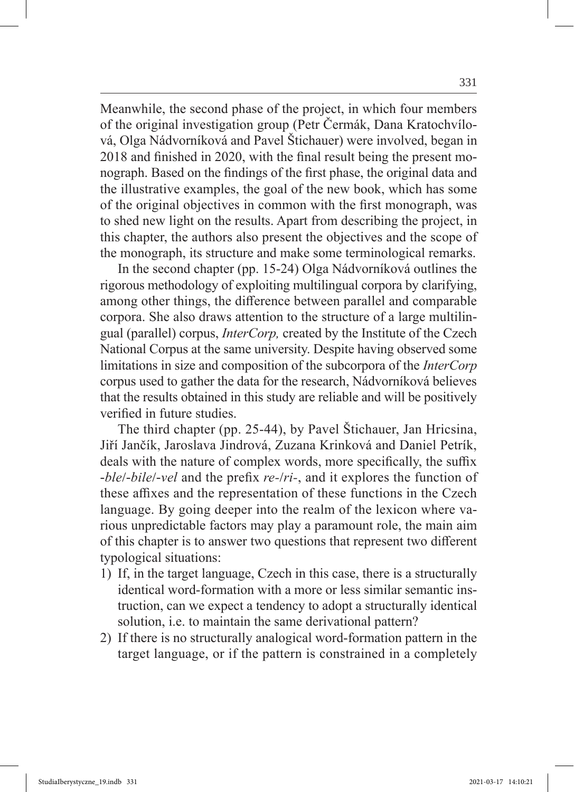Meanwhile, the second phase of the project, in which four members of the original investigation group (Petr Čermák, Dana Kratochvílová, Olga Nádvorníková and Pavel Štichauer) were involved, began in 2018 and finished in 2020, with the final result being the present monograph. Based on the findings of the first phase, the original data and the illustrative examples, the goal of the new book, which has some of the original objectives in common with the first monograph, was to shed new light on the results. Apart from describing the project, in this chapter, the authors also present the objectives and the scope of the monograph, its structure and make some terminological remarks.

In the second chapter (pp. 15-24) Olga Nádvorníková outlines the rigorous methodology of exploiting multilingual corpora by clarifying, among other things, the difference between parallel and comparable corpora. She also draws attention to the structure of a large multilingual (parallel) corpus, *InterCorp,* created by the Institute of the Czech National Corpus at the same university. Despite having observed some limitations in size and composition of the subcorpora of the *InterCorp*  corpus used to gather the data for the research, Nádvorníková believes that the results obtained in this study are reliable and will be positively verified in future studies.

The third chapter (pp. 25-44), by Pavel Štichauer, Jan Hricsina, Jiří Jančík, Jaroslava Jindrová, Zuzana Krinková and Daniel Petrík, deals with the nature of complex words, more specifically, the suffix -*ble*/-*bile*/-*vel* and the prefix *re-*/*ri-*, and it explores the function of these affixes and the representation of these functions in the Czech language. By going deeper into the realm of the lexicon where various unpredictable factors may play a paramount role, the main aim of this chapter is to answer two questions that represent two different typological situations:

- 1) If, in the target language, Czech in this case, there is a structurally identical word-formation with a more or less similar semantic instruction, can we expect a tendency to adopt a structurally identical solution, i.e. to maintain the same derivational pattern?
- 2) If there is no structurally analogical word-formation pattern in the target language, or if the pattern is constrained in a completely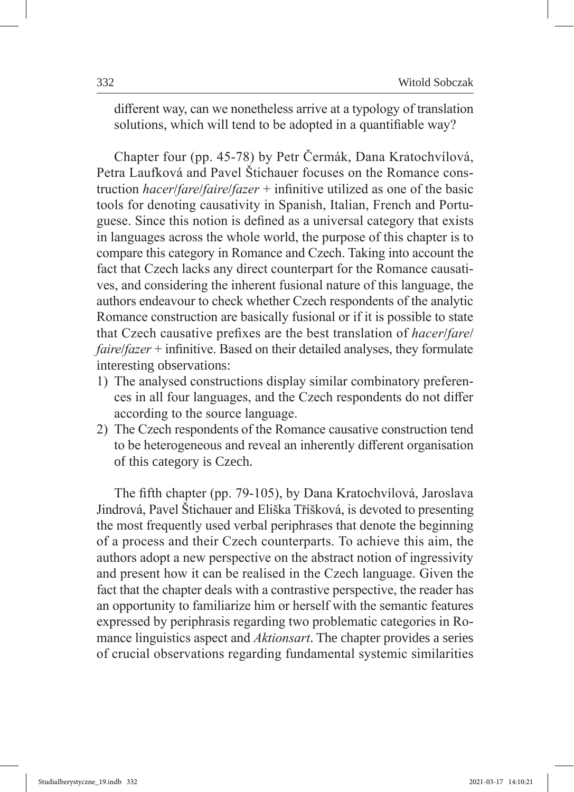different way, can we nonetheless arrive at a typology of translation solutions, which will tend to be adopted in a quantifiable way?

Chapter four (pp. 45-78) by Petr Čermák, Dana Kratochvílová, Petra Laufková and Pavel Štichauer focuses on the Romance construction *hacer*/*fare*/*faire*/*fazer* + infinitive utilized as one of the basic tools for denoting causativity in Spanish, Italian, French and Portuguese. Since this notion is defined as a universal category that exists in languages across the whole world, the purpose of this chapter is to compare this category in Romance and Czech. Taking into account the fact that Czech lacks any direct counterpart for the Romance causatives, and considering the inherent fusional nature of this language, the authors endeavour to check whether Czech respondents of the analytic Romance construction are basically fusional or if it is possible to state that Czech causative prefixes are the best translation of *hacer*/*fare*/ *faire*/*fazer* + infinitive. Based on their detailed analyses, they formulate interesting observations:

- 1) The analysed constructions display similar combinatory preferences in all four languages, and the Czech respondents do not differ according to the source language.
- 2) The Czech respondents of the Romance causative construction tend to be heterogeneous and reveal an inherently different organisation of this category is Czech.

The fifth chapter (pp. 79-105), by Dana Kratochvílová, Jaroslava Jindrová, Pavel Štichauer and Eliška Tříšková, is devoted to presenting the most frequently used verbal periphrases that denote the beginning of a process and their Czech counterparts. To achieve this aim, the authors adopt a new perspective on the abstract notion of ingressivity and present how it can be realised in the Czech language. Given the fact that the chapter deals with a contrastive perspective, the reader has an opportunity to familiarize him or herself with the semantic features expressed by periphrasis regarding two problematic categories in Romance linguistics aspect and *Aktionsart*. The chapter provides a series of crucial observations regarding fundamental systemic similarities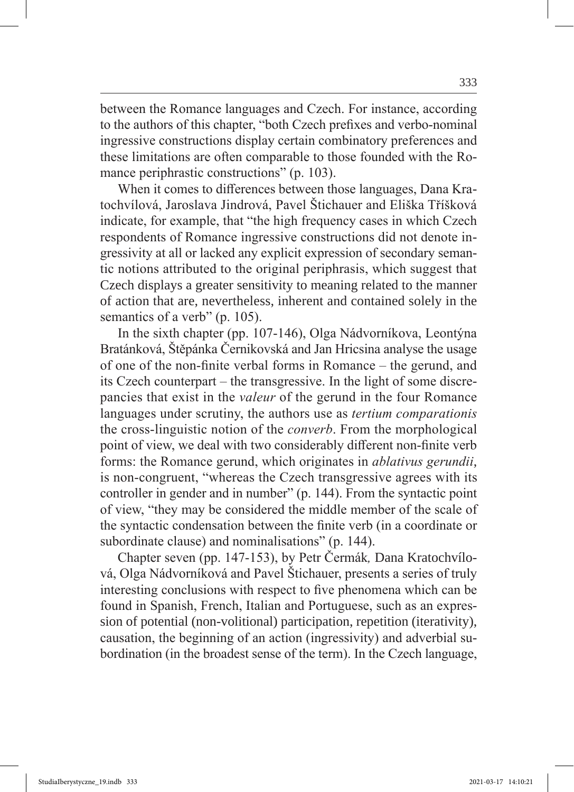between the Romance languages and Czech. For instance, according to the authors of this chapter, "both Czech prefixes and verbo-nominal ingressive constructions display certain combinatory preferences and these limitations are often comparable to those founded with the Romance periphrastic constructions" (p. 103).

When it comes to differences between those languages, Dana Kratochvílová, Jaroslava Jindrová, Pavel Štichauer and Eliška Tříšková indicate, for example, that "the high frequency cases in which Czech respondents of Romance ingressive constructions did not denote ingressivity at all or lacked any explicit expression of secondary semantic notions attributed to the original periphrasis, which suggest that Czech displays a greater sensitivity to meaning related to the manner of action that are, nevertheless, inherent and contained solely in the semantics of a verb" (p. 105).

In the sixth chapter (pp. 107-146), Olga Nádvorníkova, Leontýna Bratánková, Štěpánka Černikovská and Jan Hricsina analyse the usage of one of the non-finite verbal forms in Romance – the gerund, and its Czech counterpart – the transgressive. In the light of some discrepancies that exist in the *valeur* of the gerund in the four Romance languages under scrutiny, the authors use as *tertium comparationis* the cross-linguistic notion of the *converb*. From the morphological point of view, we deal with two considerably different non-finite verb forms: the Romance gerund, which originates in *ablativus gerundii*, is non-congruent, "whereas the Czech transgressive agrees with its controller in gender and in number" (p. 144). From the syntactic point of view, "they may be considered the middle member of the scale of the syntactic condensation between the finite verb (in a coordinate or subordinate clause) and nominalisations" (p. 144).

Chapter seven (pp. 147-153), by Petr Čermák*,* Dana Kratochvílová, Olga Nádvorníková and Pavel Štichauer, presents a series of truly interesting conclusions with respect to five phenomena which can be found in Spanish, French, Italian and Portuguese, such as an expression of potential (non-volitional) participation, repetition (iterativity), causation, the beginning of an action (ingressivity) and adverbial subordination (in the broadest sense of the term). In the Czech language,